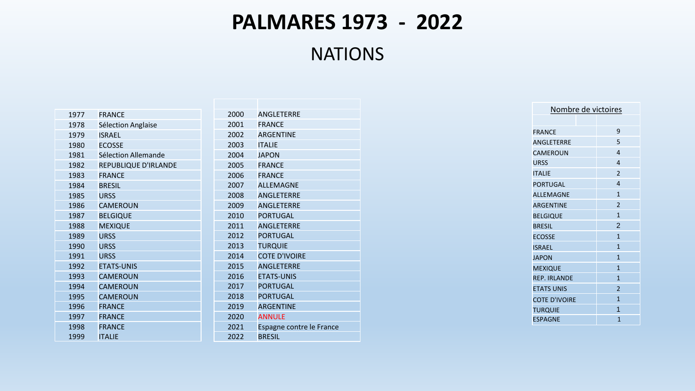## **PALMARES 1973 - 2022**

NATIONS

| 1977 | <b>FRANCE</b>        | 2              |
|------|----------------------|----------------|
| 1978 | Sélection Anglaise   | $\overline{a}$ |
| 1979 | <b>ISRAEL</b>        | $\overline{a}$ |
| 1980 | <b>ECOSSE</b>        | $\overline{a}$ |
| 1981 | Sélection Allemande  | $\overline{a}$ |
| 1982 | REPUBLIQUE D'IRLANDE | $\overline{a}$ |
| 1983 | <b>FRANCE</b>        | $\overline{a}$ |
| 1984 | <b>BRESIL</b>        | $\overline{a}$ |
| 1985 | <b>URSS</b>          | $\overline{a}$ |
| 1986 | <b>CAMEROUN</b>      | $\overline{a}$ |
| 1987 | <b>BELGIQUE</b>      | $\overline{a}$ |
| 1988 | <b>MEXIQUE</b>       | $\overline{a}$ |
| 1989 | <b>URSS</b>          | $\overline{a}$ |
| 1990 | <b>URSS</b>          | $\overline{a}$ |
| 1991 | <b>URSS</b>          | $\overline{a}$ |
| 1992 | <b>ETATS-UNIS</b>    | $\overline{a}$ |
| 1993 | <b>CAMEROUN</b>      | $\overline{a}$ |
| 1994 | <b>CAMEROUN</b>      | $\overline{a}$ |
| 1995 | <b>CAMEROUN</b>      | $\overline{a}$ |
| 1996 | <b>FRANCE</b>        | $\overline{a}$ |
| 1997 | <b>FRANCE</b>        | $\overline{a}$ |
| 1998 | <b>FRANCE</b>        | $\overline{a}$ |
| 1999 | <b>ITALIE</b>        | $\overline{a}$ |

| 2000 | ANGLETERRE               |
|------|--------------------------|
| 2001 | <b>FRANCE</b>            |
| 2002 | <b>ARGENTINE</b>         |
| 2003 | <b>ITALIE</b>            |
| 2004 | <b>JAPON</b>             |
| 2005 | <b>FRANCE</b>            |
| 2006 | <b>FRANCE</b>            |
| 2007 | <b>ALLEMAGNE</b>         |
| 2008 | <b>ANGLETERRE</b>        |
| 2009 | ANGLETERRE               |
| 2010 | PORTUGAL                 |
| 2011 | ANGLETERRE               |
| 2012 | <b>PORTUGAL</b>          |
| 2013 | <b>TURQUIE</b>           |
| 2014 | <b>COTE D'IVOIRE</b>     |
| 2015 | <b>ANGLETERRE</b>        |
| 2016 | <b>ETATS-UNIS</b>        |
| 2017 | <b>PORTUGAL</b>          |
| 2018 | PORTUGAL                 |
| 2019 | <b>ARGENTINE</b>         |
| 2020 | <b>ANNULE</b>            |
| 2021 | Espagne contre le France |
| 2022 | <b>BRESIL</b>            |

| Nombre de victoires  |  |                |                          |
|----------------------|--|----------------|--------------------------|
|                      |  |                |                          |
| <b>FRANCF</b>        |  |                | 9                        |
| ANGLETERRE           |  |                | 5                        |
| <b>CAMEROUN</b>      |  |                | 4                        |
| <b>URSS</b>          |  | $\overline{a}$ |                          |
| <b>ITALIE</b>        |  |                | $\overline{2}$           |
| <b>PORTUGAL</b>      |  | $\overline{a}$ |                          |
| <b>ALLEMAGNE</b>     |  |                | 1                        |
| <b>ARGENTINE</b>     |  |                | $\overline{\phantom{a}}$ |
| <b>BELGIQUE</b>      |  |                | $\mathbf{1}$             |
| <b>BRESIL</b>        |  |                | $\overline{2}$           |
| <b>ECOSSE</b>        |  |                | $\mathbf{1}$             |
| <b>ISRAEL</b>        |  |                | 1                        |
| <b>JAPON</b>         |  |                | $\mathbf{1}$             |
| <b>MEXIQUE</b>       |  |                | 1                        |
| <b>REP. IRLANDE</b>  |  |                | 1                        |
| <b>ETATS UNIS</b>    |  |                | $\overline{2}$           |
| <b>COTE D'IVOIRE</b> |  |                | 1                        |
| TURQUIE              |  | $\overline{1}$ |                          |
| <b>ESPAGNE</b>       |  |                | 1                        |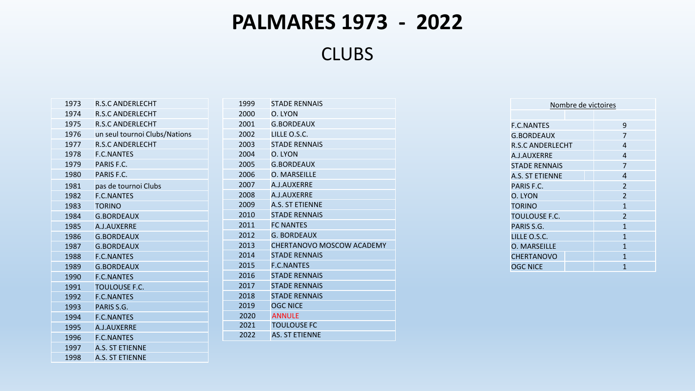## **PALMARES 1973 - 2022**

**CLUBS** 

| 1973 | <b>R.S.C ANDERLECHT</b>       |
|------|-------------------------------|
| 1974 | <b>R.S.C ANDERLECHT</b>       |
| 1975 | <b>R.S.C ANDERLECHT</b>       |
| 1976 | un seul tournoi Clubs/Nations |
| 1977 | <b>R.S.C ANDERLECHT</b>       |
| 1978 | <b>F.C.NANTES</b>             |
| 1979 | PARIS F.C.                    |
| 1980 | PARIS F.C.                    |
| 1981 | pas de tournoi Clubs          |
| 1982 | <b>F.C.NANTES</b>             |
| 1983 | <b>TORINO</b>                 |
| 1984 | <b>G.BORDEAUX</b>             |
| 1985 | A.J.AUXERRE                   |
| 1986 | <b>G.BORDEAUX</b>             |
| 1987 | <b>G.BORDEAUX</b>             |
| 1988 | <b>F.C.NANTES</b>             |
| 1989 | <b>G.BORDEAUX</b>             |
| 1990 | <b>F.C.NANTES</b>             |
| 1991 | <b>TOULOUSE F.C.</b>          |
| 1992 | <b>F.C.NANTES</b>             |
| 1993 | PARIS S.G.                    |
| 1994 | <b>F.C.NANTES</b>             |
| 1995 | A.J.AUXERRE                   |
| 1996 | <b>F.C.NANTES</b>             |
| 1997 | A.S. ST ETIENNE               |
| 1998 | A.S. ST ETIENNE               |

| 1999 | <b>STADE RENNAIS</b>      |
|------|---------------------------|
| 2000 | O. LYON                   |
| 2001 | <b>G.BORDEAUX</b>         |
| 2002 | LILLE O.S.C.              |
| 2003 | <b>STADE RENNAIS</b>      |
| 2004 | O. LYON                   |
| 2005 | <b>G.BORDEAUX</b>         |
| 2006 | <b>O. MARSEILLE</b>       |
| 2007 | A.I.AUXERRE               |
| 2008 | A.J.AUXERRE               |
| 2009 | <b>A.S. ST ETIENNE</b>    |
| 2010 | <b>STADE RENNAIS</b>      |
| 2011 | <b>FC NANTES</b>          |
| 2012 | <b>G. BORDEAUX</b>        |
| 2013 | CHERTANOVO MOSCOW ACADEMY |
| 2014 | <b>STADE RENNAIS</b>      |
| 2015 | <b>F.C.NANTES</b>         |
| 2016 | <b>STADE RENNAIS</b>      |
| 2017 | <b>STADE RENNAIS</b>      |
| 2018 | <b>STADE RENNAIS</b>      |
| 2019 | <b>OGC NICE</b>           |
| 2020 | <b>ANNULE</b>             |
| 2021 | <b>TOULOUSE FC</b>        |
| 2022 | <b>AS. ST ETIENNE</b>     |

| Nombre de victoires    |                          |  |  |
|------------------------|--------------------------|--|--|
|                        |                          |  |  |
| <b>F.C.NANTES</b>      | 9                        |  |  |
| <b>G.BORDEAUX</b>      | 7                        |  |  |
| R.S.C ANDERLECHT       | 4                        |  |  |
| A.I.AUXFRRE            | 4                        |  |  |
| <b>STADE RENNAIS</b>   | 7                        |  |  |
| <b>A.S. ST ETIENNE</b> | 4                        |  |  |
| PARIS F.C.             | $\mathfrak{p}$           |  |  |
| O. LYON                | $\overline{\mathcal{L}}$ |  |  |
| <b>TORINO</b>          | $\mathbf{1}$             |  |  |
| TOULOUSE F.C.          | $\overline{\mathcal{L}}$ |  |  |
| PARIS S.G.             | 1                        |  |  |
| LILLE O.S.C.           | 1                        |  |  |
| <b>O. MARSEILLE</b>    | $\mathbf{1}$             |  |  |
| <b>CHERTANOVO</b>      | $\mathbf{1}$             |  |  |
| <b>OGC NICE</b>        | 1                        |  |  |